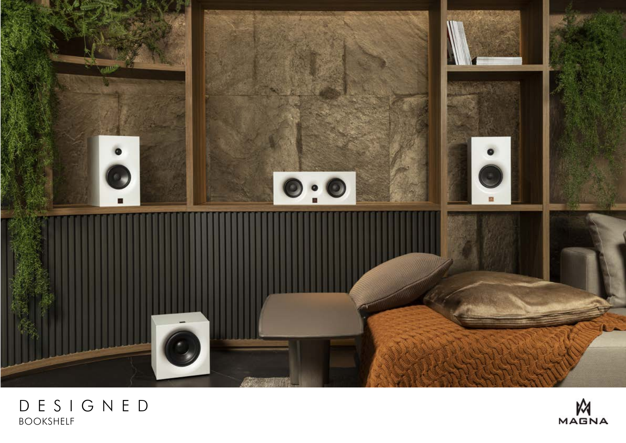

## DESIGNED BOOKSHELF